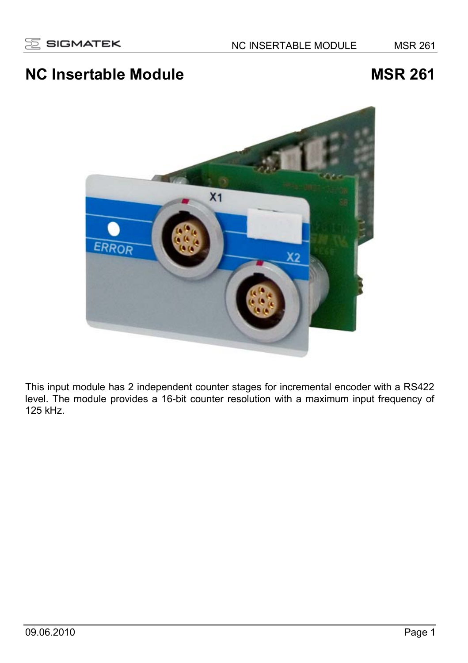# **NC Insertable Module Manufacture MSR 261 MSR 261**



This input module has 2 independent counter stages for incremental encoder with a RS422 level. The module provides a 16-bit counter resolution with a maximum input frequency of 125 kHz.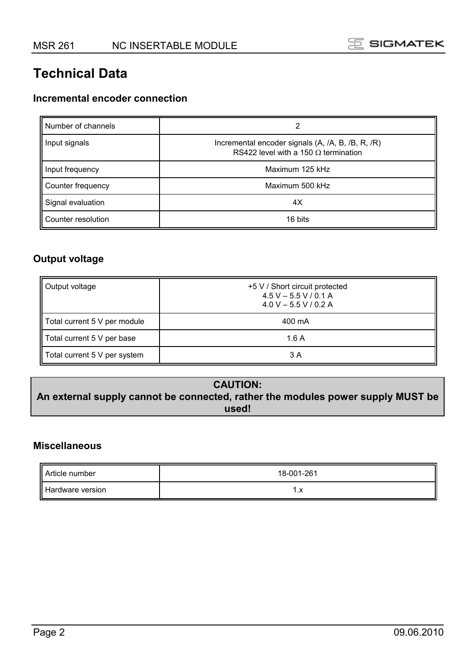## **Technical Data**

#### **Incremental encoder connection**

| Number of channels | 2                                                                                                |
|--------------------|--------------------------------------------------------------------------------------------------|
| Input signals      | Incremental encoder signals (A, /A, B, /B, R, /R)<br>RS422 level with a 150 $\Omega$ termination |
| Input frequency    | Maximum 125 kHz                                                                                  |
| Counter frequency  | Maximum 500 kHz                                                                                  |
| Signal evaluation  | 4X                                                                                               |
| Counter resolution | 16 bits                                                                                          |

#### **Output voltage**

| Output voltage               | +5 V / Short circuit protected<br>$4.5 V - 5.5 V / 0.1 A$<br>$4.0 V - 5.5 V / 0.2 A$ |
|------------------------------|--------------------------------------------------------------------------------------|
| Total current 5 V per module | 400 mA                                                                               |
| Total current 5 V per base   | 1.6 A                                                                                |
| Total current 5 V per system | 3 A                                                                                  |

#### **CAUTION: An external supply cannot be connected, rather the modules power supply MUST be used!**

#### **Miscellaneous**

| Article number   | 18-001-261 |
|------------------|------------|
| Hardware version | ۰. ۸       |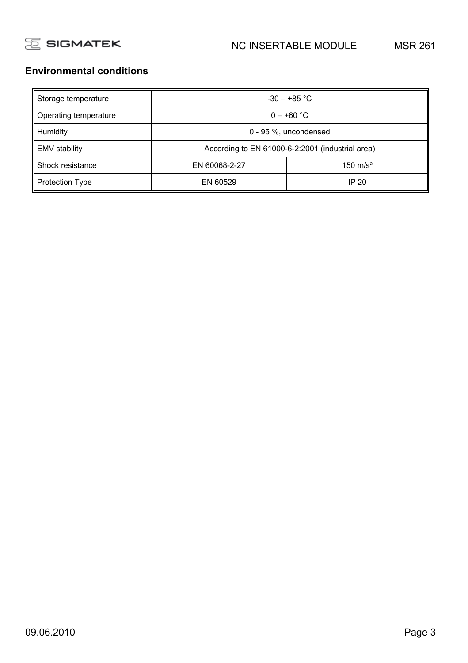#### **Environmental conditions**

| Storage temperature    | $-30 - +85$ °C                                   |                     |  |
|------------------------|--------------------------------------------------|---------------------|--|
| Operating temperature  | $0 - +60$ °C                                     |                     |  |
| <b>Humidity</b>        | 0 - 95 %, uncondensed                            |                     |  |
| <b>EMV</b> stability   | According to EN 61000-6-2:2001 (industrial area) |                     |  |
| Shock resistance       | EN 60068-2-27                                    | $150 \text{ m/s}^2$ |  |
| <b>Protection Type</b> | EN 60529                                         | IP 20               |  |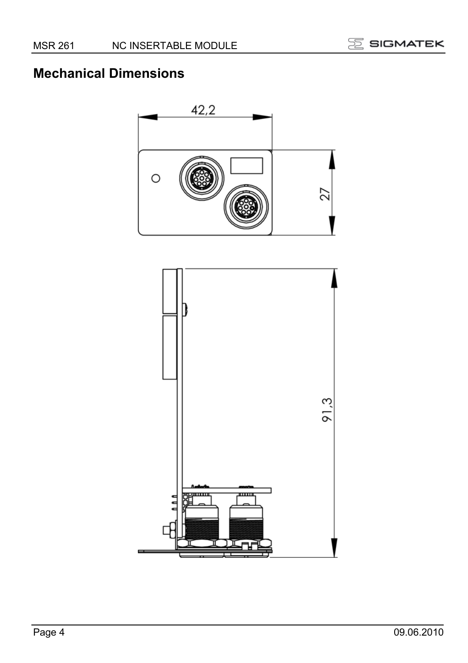

# **Mechanical Dimensions**



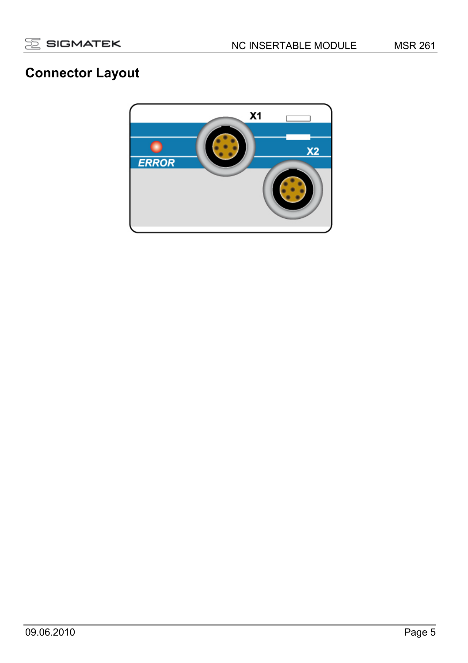

# **Connector Layout**

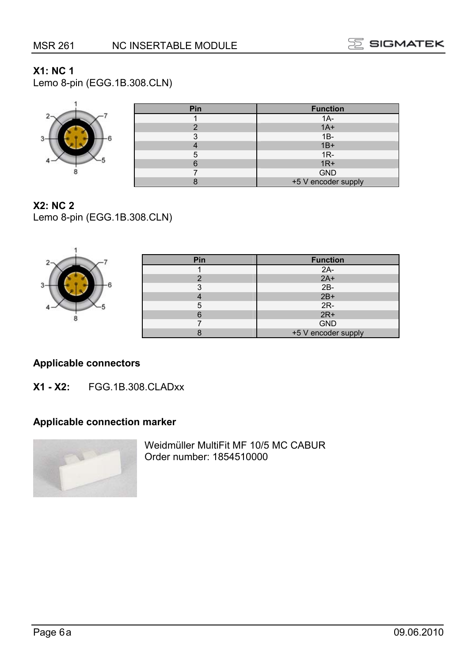г



#### **X1: NC 1**

Lemo 8-pin (EGG.1B.308.CLN)



| . | .                   |
|---|---------------------|
|   | $1A-$               |
|   | $1A+$               |
|   | $1B -$              |
|   | $1B+$               |
|   | $1R -$              |
|   | $1R+$               |
|   | <b>GND</b>          |
|   | +5 V encoder supply |

**Pin Function** 

#### **X2: NC 2**

.

Lemo 8-pin (EGG.1B.308.CLN)

|      | Pin | <b>Function</b>     |
|------|-----|---------------------|
|      |     |                     |
|      |     | $2A-2A+$            |
| $3-$ |     | $2B-$               |
|      |     | $2B+$               |
|      |     | $2R-$               |
|      |     | $2R+$               |
|      |     | <b>GND</b>          |
|      |     | +5 V encoder supply |

#### **Applicable connectors**

**X1 - X2:** FGG.1B.308.CLADxx

#### **Applicable connection marker**



Weidmüller MultiFit MF 10/5 MC CABUR Order number: 1854510000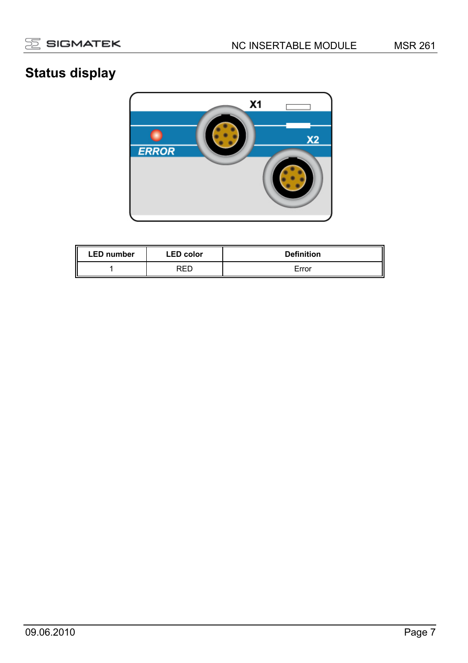

# **Status display**



| <b>LED number</b> | <b>LED</b> color | <b>Definition</b> |
|-------------------|------------------|-------------------|
|                   | RED              | Error             |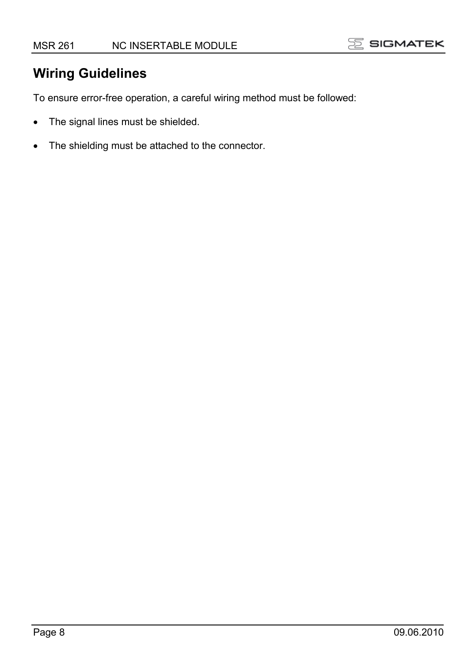

### **Wiring Guidelines**

To ensure error-free operation, a careful wiring method must be followed:

- The signal lines must be shielded.
- The shielding must be attached to the connector.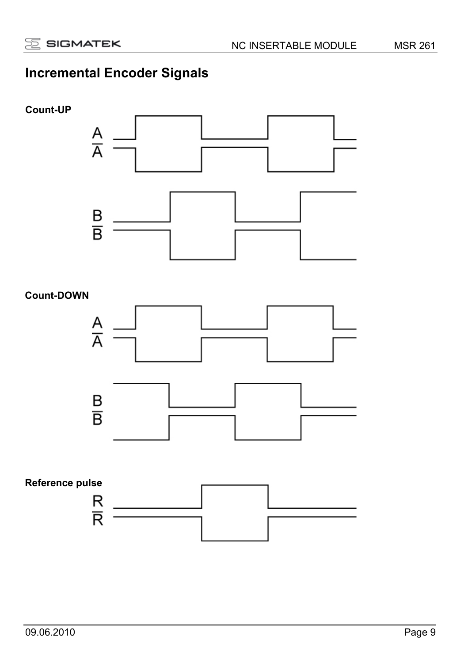# **Incremental Encoder Signals**

#### **Count-UP**



#### **Count-DOWN**



# **Reference pulse**   $\frac{\mathsf{R}}{\mathsf{R}}$